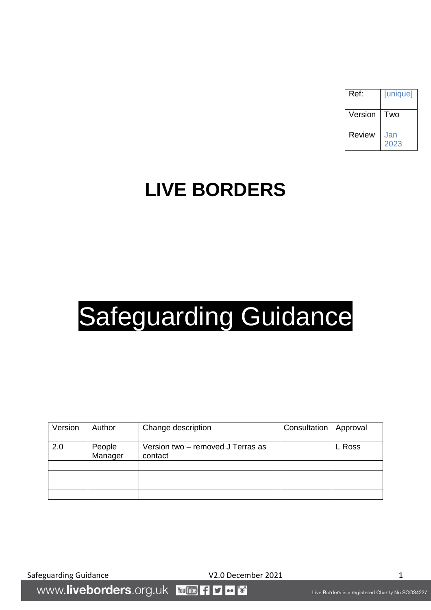| Ref:    | [unique]    |
|---------|-------------|
| Version | Two         |
| Review  | Jan<br>2023 |

# **LIVE BORDERS**

# Safeguarding Guidance

| Version | Author            | Change description                           | Consultation | Approval |
|---------|-------------------|----------------------------------------------|--------------|----------|
| 2.0     | People<br>Manager | Version two - removed J Terras as<br>contact |              | L Ross   |
|         |                   |                                              |              |          |
|         |                   |                                              |              |          |
|         |                   |                                              |              |          |
|         |                   |                                              |              |          |

Safeguarding Guidance **V2.0 December 2021** 

www.liveborders.org.uk **You Tube** f  $\bullet \bullet$ v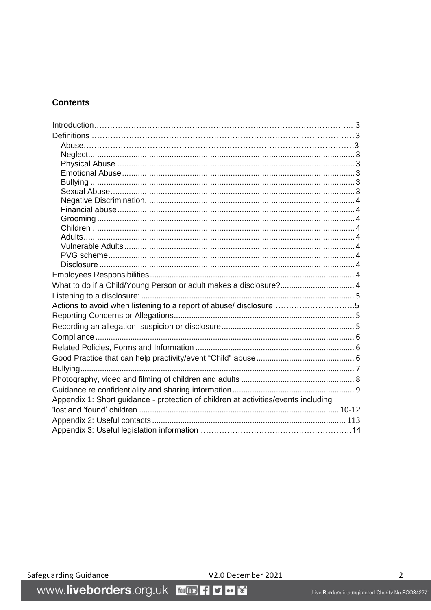# **Contents**

| What to do if a Child/Young Person or adult makes a disclosure? 4                  |  |
|------------------------------------------------------------------------------------|--|
|                                                                                    |  |
| Actions to avoid when listening to a report of abuse/ disclosure5                  |  |
|                                                                                    |  |
|                                                                                    |  |
|                                                                                    |  |
|                                                                                    |  |
|                                                                                    |  |
|                                                                                    |  |
|                                                                                    |  |
|                                                                                    |  |
| Appendix 1: Short guidance - protection of children at activities/events including |  |
|                                                                                    |  |
|                                                                                    |  |
|                                                                                    |  |
|                                                                                    |  |

V2.0 December 2021

V2.0 Decen<br>WWW.liveborders.org.uk YouTube 1 D o 0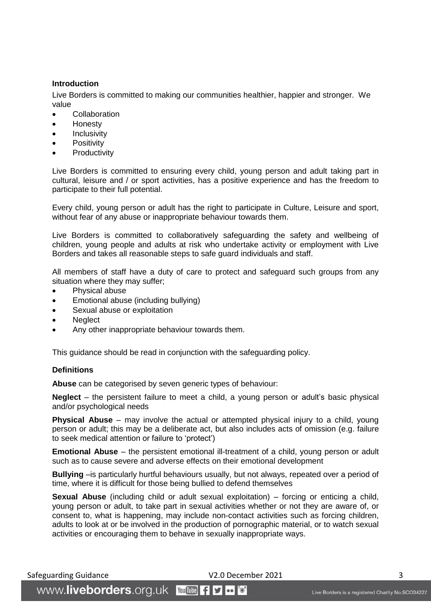# <span id="page-2-0"></span>**Introduction**

Live Borders is committed to making our communities healthier, happier and stronger. We value

- **Collaboration**
- Honesty
- **Inclusivity**
- **Positivity**
- **Productivity**

Live Borders is committed to ensuring every child, young person and adult taking part in cultural, leisure and / or sport activities, has a positive experience and has the freedom to participate to their full potential.

Every child, young person or adult has the right to participate in Culture, Leisure and sport, without fear of any abuse or inappropriate behaviour towards them.

Live Borders is committed to collaboratively safeguarding the safety and wellbeing of children, young people and adults at risk who undertake activity or employment with Live Borders and takes all reasonable steps to safe guard individuals and staff.

All members of staff have a duty of care to protect and safeguard such groups from any situation where they may suffer;

- Physical abuse
- Emotional abuse (including bullying)
- Sexual abuse or exploitation
- **Neglect**
- Any other inappropriate behaviour towards them.

This guidance should be read in conjunction with the safeguarding policy.

#### <span id="page-2-1"></span>**Definitions**

<span id="page-2-2"></span>**Abuse** can be categorised by seven generic types of behaviour:

<span id="page-2-3"></span>**Neglect** – the persistent failure to meet a child, a young person or adult's basic physical and/or psychological needs

<span id="page-2-4"></span>**Physical Abuse** – may involve the actual or attempted physical injury to a child, young person or adult; this may be a deliberate act, but also includes acts of omission (e.g. failure to seek medical attention or failure to 'protect')

<span id="page-2-5"></span>**Emotional Abuse** – the persistent emotional ill-treatment of a child, young person or adult such as to cause severe and adverse effects on their emotional development

<span id="page-2-6"></span>**Bullying** –is particularly hurtful behaviours usually, but not always, repeated over a period of time, where it is difficult for those being bullied to defend themselves

<span id="page-2-7"></span>**Sexual Abuse** (including child or adult sexual exploitation) – forcing or enticing a child, young person or adult, to take part in sexual activities whether or not they are aware of, or consent to, what is happening, may include non-contact activities such as forcing children, adults to look at or be involved in the production of pornographic material, or to watch sexual activities or encouraging them to behave in sexually inappropriate ways.

Safeguarding Guidance **Safeguarding Guidance 3** 

WWW.liveborders.org.uk YouTube -1 9  $\bullet \bullet$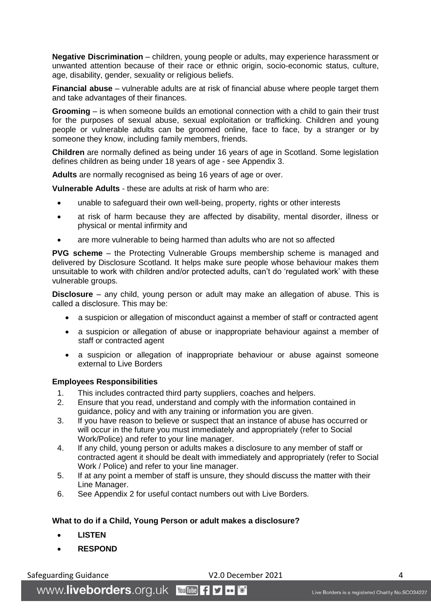<span id="page-3-0"></span>**Negative Discrimination** – children, young people or adults, may experience harassment or unwanted attention because of their race or ethnic origin, socio-economic status, culture, age, disability, gender, sexuality or religious beliefs.

<span id="page-3-1"></span>**Financial abuse** – vulnerable adults are at risk of financial abuse where people target them and take advantages of their finances.

<span id="page-3-2"></span>**Grooming** – is when someone builds an emotional connection with a child to gain their trust for the purposes of sexual abuse, sexual exploitation or trafficking. Children and young people or vulnerable adults can be groomed online, face to face, by a stranger or by someone they know, including family members, friends.

<span id="page-3-3"></span>**Children** are normally defined as being under 16 years of age in Scotland. Some legislation defines children as being under 18 years of age - see Appendix 3.

<span id="page-3-4"></span>**Adults** are normally recognised as being 16 years of age or over.

<span id="page-3-5"></span>**Vulnerable Adults** - these are adults at risk of harm who are:

- unable to safeguard their own well-being, property, rights or other interests
- at risk of harm because they are affected by disability, mental disorder, illness or physical or mental infirmity and
- are more vulnerable to being harmed than adults who are not so affected

<span id="page-3-6"></span>**PVG scheme** – the Protecting Vulnerable Groups membership scheme is managed and delivered by Disclosure Scotland. It helps make sure people whose behaviour makes them unsuitable to work with children and/or protected adults, can't do 'regulated work' with these vulnerable groups.

<span id="page-3-7"></span>**Disclosure** – any child, young person or adult may make an allegation of abuse. This is called a disclosure. This may be:

- a suspicion or allegation of misconduct against a member of staff or contracted agent
- a suspicion or allegation of abuse or inappropriate behaviour against a member of staff or contracted agent
- a suspicion or allegation of inappropriate behaviour or abuse against someone external to Live Borders

#### <span id="page-3-8"></span>**Employees Responsibilities**

- 1. This includes contracted third party suppliers, coaches and helpers.
- 2. Ensure that you read, understand and comply with the information contained in guidance, policy and with any training or information you are given.
- 3. If you have reason to believe or suspect that an instance of abuse has occurred or will occur in the future you must immediately and appropriately (refer to Social Work/Police) and refer to your line manager.
- 4. If any child, young person or adults makes a disclosure to any member of staff or contracted agent it should be dealt with immediately and appropriately (refer to Social Work / Police) and refer to your line manager.
- 5. If at any point a member of staff is unsure, they should discuss the matter with their Line Manager.
- 6. See Appendix 2 for useful contact numbers out with Live Borders.

# <span id="page-3-9"></span>**What to do if a Child, Young Person or adult makes a disclosure?**

- **LISTEN**
- **RESPOND**

Safeguarding Guidance **V2.0 December 2021** 4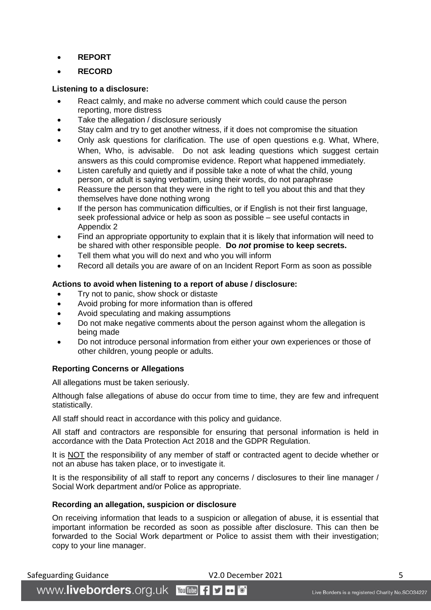- **REPORT**
- **RECORD**

# <span id="page-4-0"></span>**Listening to a disclosure:**

- React calmly, and make no adverse comment which could cause the person reporting, more distress
- Take the allegation / disclosure seriously
- Stay calm and try to get another witness, if it does not compromise the situation
- Only ask questions for clarification. The use of open questions e.g. What, Where, When, Who, is advisable. Do not ask leading questions which suggest certain answers as this could compromise evidence. Report what happened immediately.
- Listen carefully and quietly and if possible take a note of what the child, young person, or adult is saying verbatim, using their words, do not paraphrase
- Reassure the person that they were in the right to tell you about this and that they themselves have done nothing wrong
- If the person has communication difficulties, or if English is not their first language, seek professional advice or help as soon as possible – see useful contacts in Appendix 2
- Find an appropriate opportunity to explain that it is likely that information will need to be shared with other responsible people. **Do** *not* **promise to keep secrets.**
- Tell them what you will do next and who you will inform
- Record all details you are aware of on an Incident Report Form as soon as possible

# <span id="page-4-1"></span>**Actions to avoid when listening to a report of abuse / disclosure:**

- Try not to panic, show shock or distaste
- Avoid probing for more information than is offered
- Avoid speculating and making assumptions
- Do not make negative comments about the person against whom the allegation is being made
- Do not introduce personal information from either your own experiences or those of other children, young people or adults.

# <span id="page-4-2"></span>**Reporting Concerns or Allegations**

All allegations must be taken seriously.

Although false allegations of abuse do occur from time to time, they are few and infrequent statistically.

All staff should react in accordance with this policy and guidance.

All staff and contractors are responsible for ensuring that personal information is held in accordance with the Data Protection Act 2018 and the GDPR Regulation.

It is NOT the responsibility of any member of staff or contracted agent to decide whether or not an abuse has taken place, or to investigate it.

It is the responsibility of all staff to report any concerns / disclosures to their line manager / Social Work department and/or Police as appropriate.

# <span id="page-4-3"></span>**Recording an allegation, suspicion or disclosure**

WWW.liveborders.org.uk YouTube 19 0 6

On receiving information that leads to a suspicion or allegation of abuse, it is essential that important information be recorded as soon as possible after disclosure. This can then be forwarded to the Social Work department or Police to assist them with their investigation; copy to your line manager.

Safeguarding Guidance **Safeguarding Guidance S** The V2.0 December 2021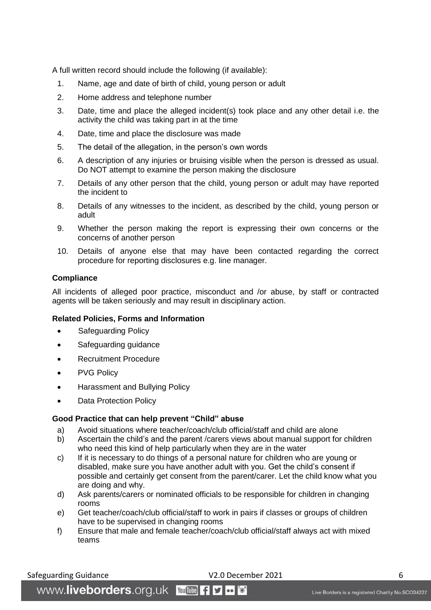A full written record should include the following (if available):

- 1. Name, age and date of birth of child, young person or adult
- 2. Home address and telephone number
- 3. Date, time and place the alleged incident(s) took place and any other detail i.e. the activity the child was taking part in at the time
- 4. Date, time and place the disclosure was made
- 5. The detail of the allegation, in the person's own words
- 6. A description of any injuries or bruising visible when the person is dressed as usual. Do NOT attempt to examine the person making the disclosure
- 7. Details of any other person that the child, young person or adult may have reported the incident to
- 8. Details of any witnesses to the incident, as described by the child, young person or adult
- 9. Whether the person making the report is expressing their own concerns or the concerns of another person
- 10. Details of anyone else that may have been contacted regarding the correct procedure for reporting disclosures e.g. line manager.

#### <span id="page-5-0"></span>**Compliance**

All incidents of alleged poor practice, misconduct and /or abuse, by staff or contracted agents will be taken seriously and may result in disciplinary action.

#### <span id="page-5-1"></span>**Related Policies, Forms and Information**

- Safeguarding Policy
- Safeguarding guidance
- Recruitment Procedure
- PVG Policy
- Harassment and Bullying Policy
- Data Protection Policy

#### <span id="page-5-2"></span>**Good Practice that can help prevent "Child" abuse**

- a) Avoid situations where teacher/coach/club official/staff and child are alone
- b) Ascertain the child's and the parent /carers views about manual support for children who need this kind of help particularly when they are in the water
- c) If it is necessary to do things of a personal nature for children who are young or disabled, make sure you have another adult with you. Get the child's consent if possible and certainly get consent from the parent/carer. Let the child know what you are doing and why.
- d) Ask parents/carers or nominated officials to be responsible for children in changing rooms
- e) Get teacher/coach/club official/staff to work in pairs if classes or groups of children have to be supervised in changing rooms
- f) Ensure that male and female teacher/coach/club official/staff always act with mixed teams

Safeguarding Guidance **Canadiance** CALC V2.0 December 2021 6

WWW.liveborders.org.uk YouTube -1 9  $\bullet \bullet$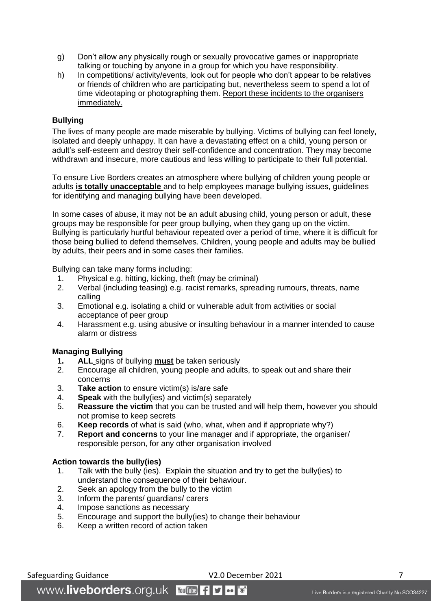- g) Don't allow any physically rough or sexually provocative games or inappropriate talking or touching by anyone in a group for which you have responsibility.
- h) In competitions/ activity/events, look out for people who don't appear to be relatives or friends of children who are participating but, nevertheless seem to spend a lot of time videotaping or photographing them. Report these incidents to the organisers immediately.

# <span id="page-6-0"></span>**Bullying**

The lives of many people are made miserable by bullying. Victims of bullying can feel lonely, isolated and deeply unhappy. It can have a devastating effect on a child, young person or adult's self-esteem and destroy their self-confidence and concentration. They may become withdrawn and insecure, more cautious and less willing to participate to their full potential.

To ensure Live Borders creates an atmosphere where bullying of children young people or adults **is totally unacceptable** and to help employees manage bullying issues, guidelines for identifying and managing bullying have been developed.

In some cases of abuse, it may not be an adult abusing child, young person or adult, these groups may be responsible for peer group bullying, when they gang up on the victim. Bullying is particularly hurtful behaviour repeated over a period of time, where it is difficult for those being bullied to defend themselves. Children, young people and adults may be bullied by adults, their peers and in some cases their families.

Bullying can take many forms including:

- 1. Physical e.g. hitting, kicking, theft (may be criminal)
- 2. Verbal (including teasing) e.g. racist remarks, spreading rumours, threats, name calling
- 3. Emotional e.g. isolating a child or vulnerable adult from activities or social acceptance of peer group
- 4. Harassment e.g. using abusive or insulting behaviour in a manner intended to cause alarm or distress

# **Managing Bullying**

- **1. ALL** signs of bullying **must** be taken seriously
- 2. Encourage all children, young people and adults, to speak out and share their concerns
- 3. **Take action** to ensure victim(s) is/are safe
- 4. **Speak** with the bully(ies) and victim(s) separately
- 5. **Reassure the victim** that you can be trusted and will help them, however you should not promise to keep secrets
- 6. **Keep records** of what is said (who, what, when and if appropriate why?)
- 7. **Report and concerns** to your line manager and if appropriate, the organiser/ responsible person, for any other organisation involved

#### **Action towards the bully(ies)**

- 1. Talk with the bully (ies). Explain the situation and try to get the bully(ies) to understand the consequence of their behaviour.
- 2. Seek an apology from the bully to the victim
- 3. Inform the parents/ guardians/ carers
- 4. Impose sanctions as necessary
- 5. Encourage and support the bully(ies) to change their behaviour
- 6. Keep a written record of action taken

Safeguarding Guidance The Control of the V2.0 December 2021 The Value of the Value of the Value of T

WWW.liveborders.org.uk YouTube 19  $\bullet \bullet$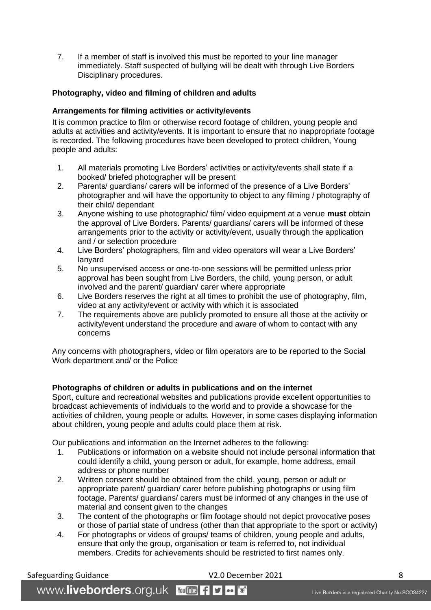7. If a member of staff is involved this must be reported to your line manager immediately. Staff suspected of bullying will be dealt with through Live Borders Disciplinary procedures.

# <span id="page-7-0"></span>**Photography, video and filming of children and adults**

#### **Arrangements for filming activities or activity/events**

It is common practice to film or otherwise record footage of children, young people and adults at activities and activity/events. It is important to ensure that no inappropriate footage is recorded. The following procedures have been developed to protect children, Young people and adults:

- 1. All materials promoting Live Borders' activities or activity/events shall state if a booked/ briefed photographer will be present
- 2. Parents/ guardians/ carers will be informed of the presence of a Live Borders' photographer and will have the opportunity to object to any filming / photography of their child/ dependant
- 3. Anyone wishing to use photographic/ film/ video equipment at a venue **must** obtain the approval of Live Borders. Parents/ guardians/ carers will be informed of these arrangements prior to the activity or activity/event, usually through the application and / or selection procedure
- 4. Live Borders' photographers, film and video operators will wear a Live Borders' lanyard
- 5. No unsupervised access or one-to-one sessions will be permitted unless prior approval has been sought from Live Borders, the child, young person, or adult involved and the parent/ guardian/ carer where appropriate
- 6. Live Borders reserves the right at all times to prohibit the use of photography, film, video at any activity/event or activity with which it is associated
- 7. The requirements above are publicly promoted to ensure all those at the activity or activity/event understand the procedure and aware of whom to contact with any concerns

Any concerns with photographers, video or film operators are to be reported to the Social Work department and/ or the Police

# **Photographs of children or adults in publications and on the internet**

Sport, culture and recreational websites and publications provide excellent opportunities to broadcast achievements of individuals to the world and to provide a showcase for the activities of children, young people or adults. However, in some cases displaying information about children, young people and adults could place them at risk.

Our publications and information on the Internet adheres to the following:

- 1. Publications or information on a website should not include personal information that could identify a child, young person or adult, for example, home address, email address or phone number
- 2. Written consent should be obtained from the child, young, person or adult or appropriate parent/ guardian/ carer before publishing photographs or using film footage. Parents/ guardians/ carers must be informed of any changes in the use of material and consent given to the changes
- 3. The content of the photographs or film footage should not depict provocative poses or those of partial state of undress (other than that appropriate to the sport or activity)
- 4. For photographs or videos of groups/ teams of children, young people and adults, ensure that only the group, organisation or team is referred to, not individual members. Credits for achievements should be restricted to first names only.

Safeguarding Guidance **Safeguarding Guidance V2.0 December 2021** 8

WWW.liveborders.org.uk YouTube -1 9  $\bullet \bullet$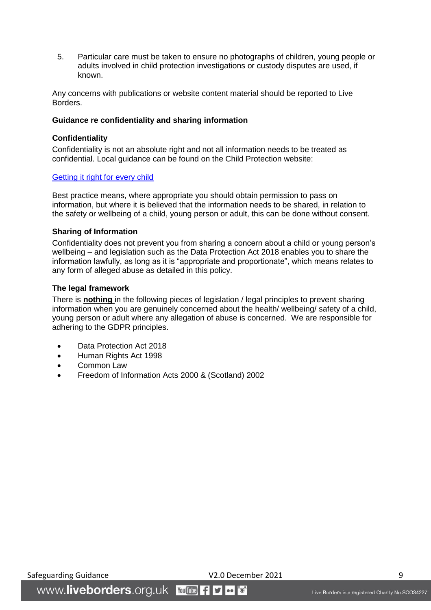5. Particular care must be taken to ensure no photographs of children, young people or adults involved in child protection investigations or custody disputes are used, if known.

Any concerns with publications or website content material should be reported to Live Borders.

#### <span id="page-8-0"></span>**Guidance re confidentiality and sharing information**

# **Confidentiality**

Confidentiality is not an absolute right and not all information needs to be treated as confidential. Local guidance can be found on the Child Protection website:

#### [Getting it right for every child](http://www.sb-cpc-procedures.org.uk/wp-content/uploads/3.1-A-PRACTITIONER-GUIDE-TO-INFORMATION-SHARING-v2-9-December-2014.pdf)

Best practice means, where appropriate you should obtain permission to pass on information, but where it is believed that the information needs to be shared, in relation to the safety or wellbeing of a child, young person or adult, this can be done without consent.

#### **Sharing of Information**

Confidentiality does not prevent you from sharing a concern about a child or young person's wellbeing – and legislation such as the Data Protection Act 2018 enables you to share the information lawfully, as long as it is "appropriate and proportionate", which means relates to any form of alleged abuse as detailed in this policy.

#### **The legal framework**

There is **nothing** in the following pieces of legislation / legal principles to prevent sharing information when you are genuinely concerned about the health/ wellbeing/ safety of a child, young person or adult where any allegation of abuse is concerned. We are responsible for adhering to the GDPR principles.

- Data Protection Act 2018
- Human Rights Act 1998
- Common Law
- Freedom of Information Acts 2000 & (Scotland) 2002

Safeguarding Guidance **V2.0 December 2021** 9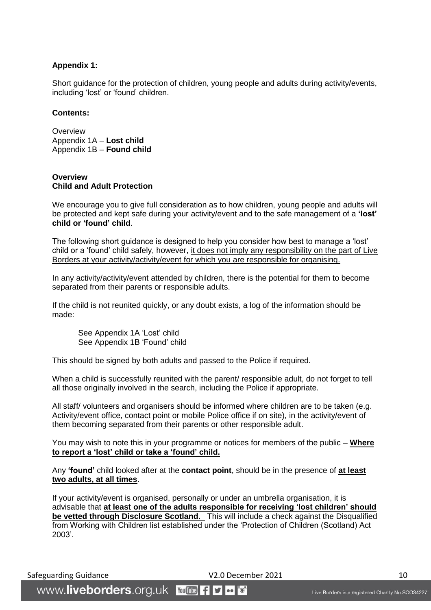# <span id="page-9-0"></span>**Appendix 1:**

Short guidance for the protection of children, young people and adults during activity/events, including 'lost' or 'found' children.

#### **Contents:**

**Overview** Appendix 1A – **Lost child**  Appendix 1B – **Found child**

#### **Overview Child and Adult Protection**

We encourage you to give full consideration as to how children, young people and adults will be protected and kept safe during your activity/event and to the safe management of a **'lost' child or 'found' child**.

The following short guidance is designed to help you consider how best to manage a 'lost' child or a 'found' child safely, however, it does not imply any responsibility on the part of Live Borders at your activity/activity/event for which you are responsible for organising.

In any activity/activity/event attended by children, there is the potential for them to become separated from their parents or responsible adults.

If the child is not reunited quickly, or any doubt exists, a log of the information should be made:

See Appendix 1A 'Lost' child See Appendix 1B 'Found' child

This should be signed by both adults and passed to the Police if required.

When a child is successfully reunited with the parent/ responsible adult, do not forget to tell all those originally involved in the search, including the Police if appropriate.

All staff/ volunteers and organisers should be informed where children are to be taken (e.g. Activity/event office, contact point or mobile Police office if on site), in the activity/event of them becoming separated from their parents or other responsible adult.

You may wish to note this in your programme or notices for members of the public – **Where to report a 'lost' child or take a 'found' child.**

Any **'found'** child looked after at the **contact point**, should be in the presence of **at least two adults, at all times**.

If your activity/event is organised, personally or under an umbrella organisation, it is advisable that **at least one of the adults responsible for receiving 'lost children' should be vetted through Disclosure Scotland.** This will include a check against the Disqualified from Working with Children list established under the 'Protection of Children (Scotland) Act 2003'.

Safeguarding Guidance **V2.0 December 2021** 10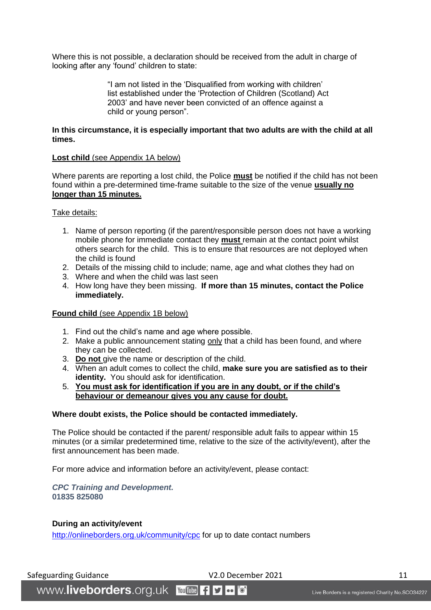Where this is not possible, a declaration should be received from the adult in charge of looking after any 'found' children to state:

> "I am not listed in the 'Disqualified from working with children' list established under the 'Protection of Children (Scotland) Act 2003' and have never been convicted of an offence against a child or young person".

# **In this circumstance, it is especially important that two adults are with the child at all times.**

#### **Lost child** (see Appendix 1A below)

Where parents are reporting a lost child, the Police **must** be notified if the child has not been found within a pre-determined time-frame suitable to the size of the venue **usually no longer than 15 minutes.**

#### Take details:

- 1. Name of person reporting (if the parent/responsible person does not have a working mobile phone for immediate contact they **must** remain at the contact point whilst others search for the child. This is to ensure that resources are not deployed when the child is found
- 2. Details of the missing child to include; name, age and what clothes they had on
- 3. Where and when the child was last seen
- 4. How long have they been missing. **If more than 15 minutes, contact the Police immediately.**

#### **Found child** (see Appendix 1B below)

- 1. Find out the child's name and age where possible.
- 2. Make a public announcement stating only that a child has been found, and where they can be collected.
- 3. **Do not** give the name or description of the child.
- 4. When an adult comes to collect the child, **make sure you are satisfied as to their identity.** You should ask for identification.
- 5. **You must ask for identification if you are in any doubt, or if the child's behaviour or demeanour gives you any cause for doubt.**

#### **Where doubt exists, the Police should be contacted immediately.**

The Police should be contacted if the parent/ responsible adult fails to appear within 15 minutes (or a similar predetermined time, relative to the size of the activity/event), after the first announcement has been made.

For more advice and information before an activity/event, please contact:

#### *CPC Training and Development.* **01835 825080**

WWW.liveborders.org.uk YouTube 19 0 6

# **During an activity/event**

<http://onlineborders.org.uk/community/cpc> for up to date contact numbers

Safeguarding Guidance 11 Contract COM CONSERVING V2.0 December 2021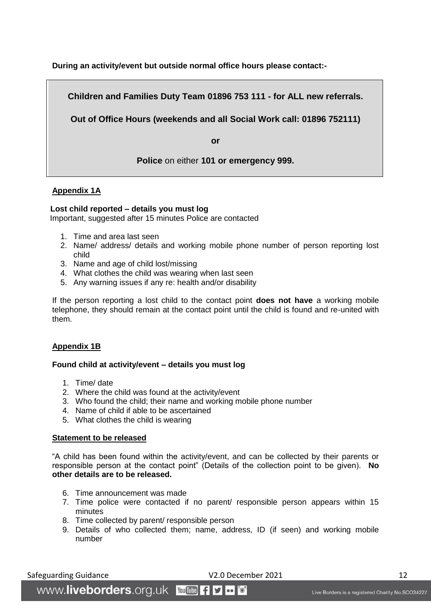**During an activity/event but outside normal office hours please contact:-**

**Children and Families Duty Team 01896 753 111 - for ALL new referrals.**

**Out of Office Hours (weekends and all Social Work call: 01896 752111)**

**or**

**Police** on either **101 or emergency 999.**

# **Appendix 1A**

# **Lost child reported – details you must log**

Important, suggested after 15 minutes Police are contacted

- 1. Time and area last seen
- 2. Name/ address/ details and working mobile phone number of person reporting lost child
- 3. Name and age of child lost/missing
- 4. What clothes the child was wearing when last seen
- 5. Any warning issues if any re: health and/or disability

If the person reporting a lost child to the contact point **does not have** a working mobile telephone, they should remain at the contact point until the child is found and re-united with them.

# **Appendix 1B**

# **Found child at activity/event – details you must log**

- 1. Time/ date
- 2. Where the child was found at the activity/event
- 3. Who found the child; their name and working mobile phone number
- 4. Name of child if able to be ascertained
- 5. What clothes the child is wearing

# **Statement to be released**

"A child has been found within the activity/event, and can be collected by their parents or responsible person at the contact point" (Details of the collection point to be given). **No other details are to be released.**

- 6. Time announcement was made
- 7. Time police were contacted if no parent/ responsible person appears within 15 minutes
- 8. Time collected by parent/ responsible person
- 9. Details of who collected them; name, address, ID (if seen) and working mobile number

Safeguarding Guidance 12 and 12 and 12 and 12 and 12 and 12 and 12 and 12 and 12 and 12 and 12 and 12 and 12 and 12 and 12 and 12 and 12 and 12 and 12 and 12 and 12 and 12 and 12 and 12 and 12 and 12 and 12 and 12 and 12 a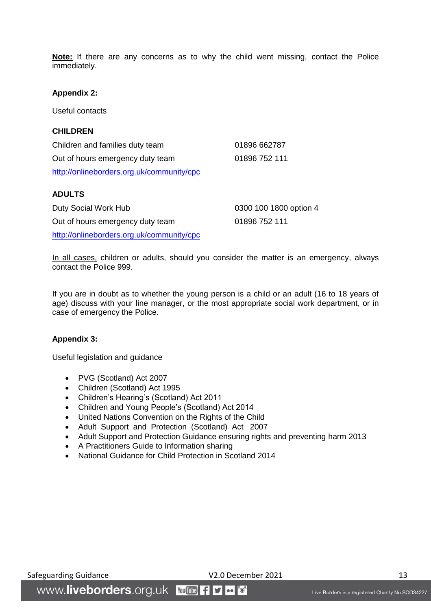**Note:** If there are any concerns as to why the child went missing, contact the Police immediately.

#### **Appendix 2:**

Useful contacts

# **CHILDREN**

Children and families duty team 01896 662787 Out of hours emergency duty team 01896 752 111 <http://onlineborders.org.uk/community/cpc>

#### **ADULTS**

Duty Social Work Hub 0300 100 1800 option 4 Out of hours emergency duty team 01896 752 111 <http://onlineborders.org.uk/community/cpc>

In all cases, children or adults, should you consider the matter is an emergency, always contact the Police 999.

If you are in doubt as to whether the young person is a child or an adult (16 to 18 years of age) discuss with your line manager, or the most appropriate social work department, or in case of emergency the Police.

#### <span id="page-12-0"></span>**Appendix 3:**

Useful legislation and guidance

- PVG (Scotland) Act 2007
- Children (Scotland) Act 1995
- Children's Hearing's (Scotland) Act 2011
- Children and Young People's (Scotland) Act 2014
- United Nations Convention on the Rights of the Child
- Adult Support and Protection (Scotland) Act 2007
- Adult Support and Protection Guidance ensuring rights and preventing harm 2013
- A Practitioners Guide to Information sharing
- National Guidance for Child Protection in Scotland 2014

#### Safeguarding Guidance **V2.0 December 2021** 13

WWW.liveborders.org.uk YouTube f D "o"  $\bullet \bullet$